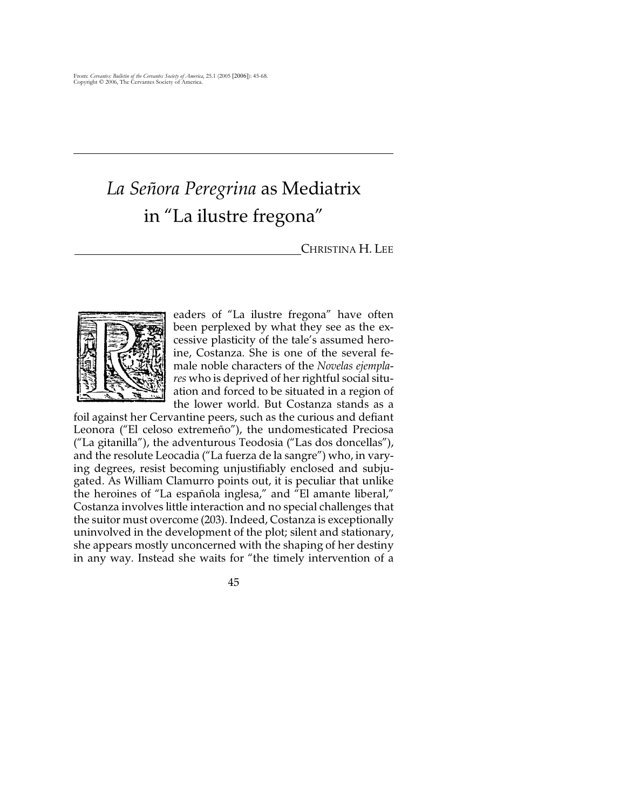## *La Señora Peregrina* as Mediatrix in "La ilustre fregona"

## CHRISTINA H. LEE



eaders of "La ilustre fregona" have often been perplexed by what they see as the excessive plasticity of the tale's assumed heroine, Costanza. She is one of the several female noble characters of the *Novelas ejemplares* who is deprived of her rightful social situation and forced to be situated in a region of the lower world. But Costanza stands as a

foil against her Cervantine peers, such as the curious and defiant Leonora ("El celoso extremeño"), the undomesticated Preciosa ("La gitanilla"), the adventurous Teodosia ("Las dos doncellas"), and the resolute Leocadia ("La fuerza de la sangre") who, in varying degrees, resist becoming unjustifiably enclosed and subjugated. As William Clamurro points out, it is peculiar that unlike the heroines of "La española inglesa," and "El amante liberal," Costanza involves little interaction and no special challenges that the suitor must overcome (203). Indeed, Costanza is exceptionally uninvolved in the development of the plot; silent and stationary, she appears mostly unconcerned with the shaping of her destiny in any way. Instead she waits for "the timely intervention of a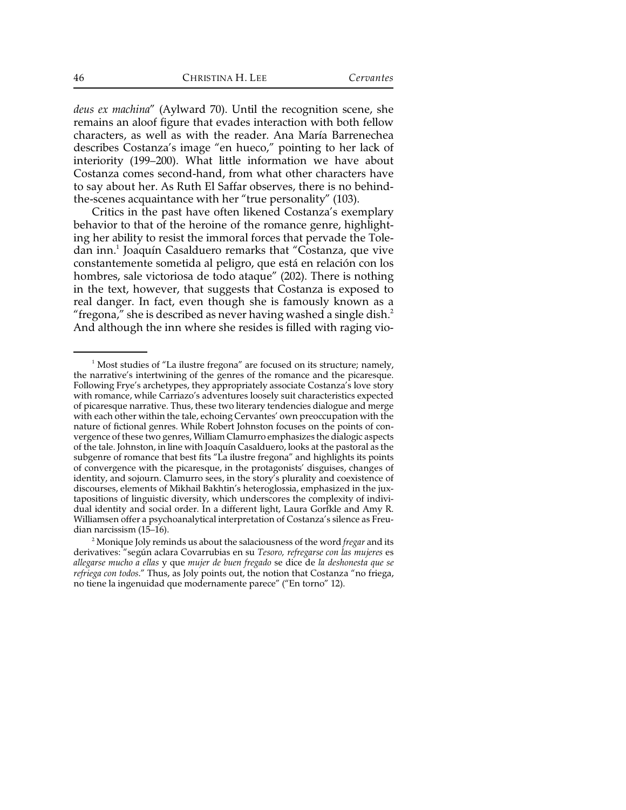*deus ex machina*" (Aylward 70). Until the recognition scene, she remains an aloof figure that evades interaction with both fellow characters, as well as with the reader. Ana María Barrenechea describes Costanza's image "en hueco," pointing to her lack of interiority (199–200). What little information we have about Costanza comes second-hand, from what other characters have to say about her. As Ruth El Saffar observes, there is no behindthe-scenes acquaintance with her "true personality" (103).

Critics in the past have often likened Costanza's exemplary behavior to that of the heroine of the romance genre, highlighting her ability to resist the immoral forces that pervade the Toledan inn.<sup>1</sup> Joaquín Casalduero remarks that "Costanza, que vive constantemente sometida al peligro, que está en relación con los hombres, sale victoriosa de todo ataque" (202). There is nothing in the text, however, that suggests that Costanza is exposed to real danger. In fact, even though she is famously known as a "fregona," she is described as never having washed a single dish. $^2$ And although the inn where she resides is filled with raging vio-

<sup>&</sup>lt;sup>1</sup> Most studies of "La ilustre fregona" are focused on its structure; namely, the narrative's intertwining of the genres of the romance and the picaresque. Following Frye's archetypes, they appropriately associate Costanza's love story with romance, while Carriazo's adventures loosely suit characteristics expected of picaresque narrative. Thus, these two literary tendencies dialogue and merge with each other within the tale, echoing Cervantes' own preoccupation with the nature of fictional genres. While Robert Johnston focuses on the points of convergence of these two genres, William Clamurro emphasizes the dialogic aspects of the tale. Johnston, in line with Joaquín Casalduero, looks at the pastoral as the subgenre of romance that best fits "La ilustre fregona" and highlights its points of convergence with the picaresque, in the protagonists' disguises, changes of identity, and sojourn. Clamurro sees, in the story's plurality and coexistence of discourses, elements of Mikhail Bakhtin's heteroglossia, emphasized in the juxtapositions of linguistic diversity, which underscores the complexity of individual identity and social order. In a different light, Laura Gorfkle and Amy R. Williamsen offer a psychoanalytical interpretation of Costanza's silence as Freudian narcissism (15–16).

Monique Joly reminds us about the salaciousness of the word *fregar* and its <sup>2</sup> derivatives: "según aclara Covarrubias en su *Tesoro, refregarse con las mujeres* es *allegarse mucho a ellas* y que *mujer de buen fregado* se dice de *la deshonesta que se refriega con todos*." Thus, as Joly points out, the notion that Costanza "no friega, no tiene la ingenuidad que modernamente parece" ("En torno" 12).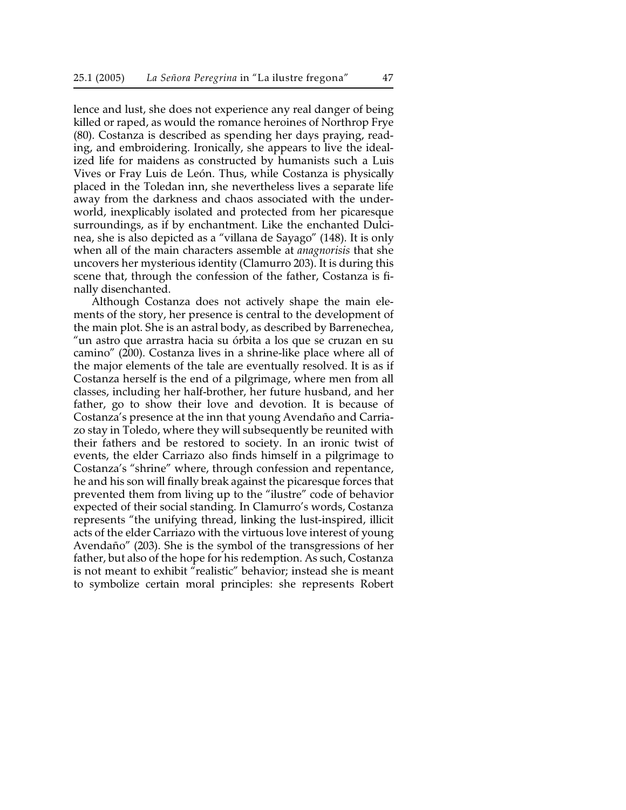lence and lust, she does not experience any real danger of being killed or raped, as would the romance heroines of Northrop Frye (80). Costanza is described as spending her days praying, reading, and embroidering. Ironically, she appears to live the idealized life for maidens as constructed by humanists such a Luis Vives or Fray Luis de León. Thus, while Costanza is physically placed in the Toledan inn, she nevertheless lives a separate life away from the darkness and chaos associated with the underworld, inexplicably isolated and protected from her picaresque surroundings, as if by enchantment. Like the enchanted Dulcinea, she is also depicted as a "villana de Sayago" (148). It is only when all of the main characters assemble at *anagnorisis* that she uncovers her mysterious identity (Clamurro 203). It is during this scene that, through the confession of the father, Costanza is finally disenchanted.

Although Costanza does not actively shape the main elements of the story, her presence is central to the development of the main plot. She is an astral body, as described by Barrenechea, "un astro que arrastra hacia su órbita a los que se cruzan en su camino" (200). Costanza lives in a shrine-like place where all of the major elements of the tale are eventually resolved. It is as if Costanza herself is the end of a pilgrimage, where men from all classes, including her half-brother, her future husband, and her father, go to show their love and devotion. It is because of Costanza's presence at the inn that young Avendaño and Carriazo stay in Toledo, where they will subsequently be reunited with their fathers and be restored to society. In an ironic twist of events, the elder Carriazo also finds himself in a pilgrimage to Costanza's "shrine" where, through confession and repentance, he and his son will finally break against the picaresque forces that prevented them from living up to the "ilustre" code of behavior expected of their social standing. In Clamurro's words, Costanza represents "the unifying thread, linking the lust-inspired, illicit acts of the elder Carriazo with the virtuous love interest of young Avendaño" (203). She is the symbol of the transgressions of her father, but also of the hope for his redemption. As such, Costanza is not meant to exhibit "realistic" behavior; instead she is meant to symbolize certain moral principles: she represents Robert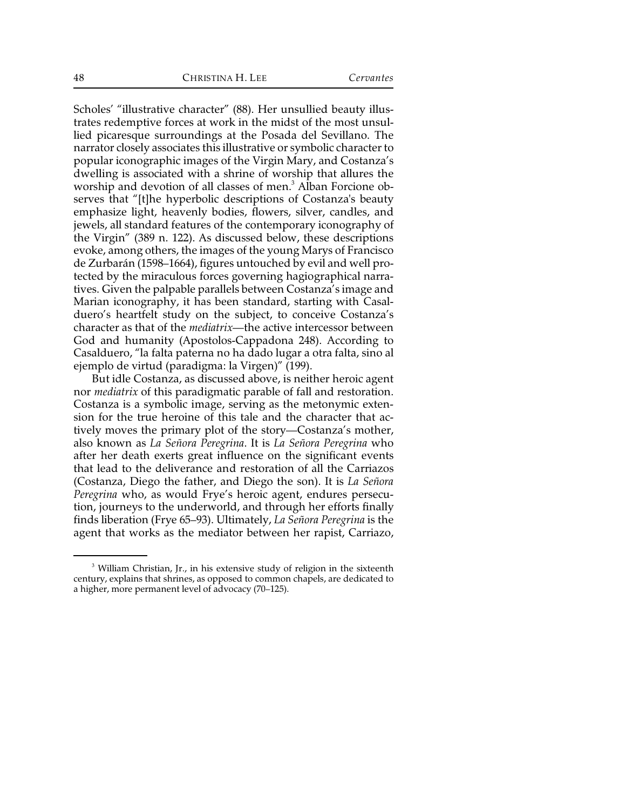Scholes' "illustrative character" (88). Her unsullied beauty illustrates redemptive forces at work in the midst of the most unsullied picaresque surroundings at the Posada del Sevillano. The narrator closely associates this illustrative or symbolic character to popular iconographic images of the Virgin Mary, and Costanza's dwelling is associated with a shrine of worship that allures the worship and devotion of all classes of men.<sup>3</sup> Alban Forcione observes that "[t]he hyperbolic descriptions of Costanza's beauty emphasize light, heavenly bodies, flowers, silver, candles, and jewels, all standard features of the contemporary iconography of the Virgin" (389 n. 122). As discussed below, these descriptions evoke, among others, the images of the young Marys of Francisco de Zurbarán (1598–1664), figures untouched by evil and well protected by the miraculous forces governing hagiographical narratives. Given the palpable parallels between Costanza's image and Marian iconography, it has been standard, starting with Casalduero's heartfelt study on the subject, to conceive Costanza's character as that of the *mediatrix*—the active intercessor between God and humanity (Apostolos-Cappadona 248). According to Casalduero, "la falta paterna no ha dado lugar a otra falta, sino al ejemplo de virtud (paradigma: la Virgen)" (199).

But idle Costanza, as discussed above, is neither heroic agent nor *mediatrix* of this paradigmatic parable of fall and restoration. Costanza is a symbolic image, serving as the metonymic extension for the true heroine of this tale and the character that actively moves the primary plot of the story—Costanza's mother, also known as *La Señora Peregrina*. It is *La Señora Peregrina* who after her death exerts great influence on the significant events that lead to the deliverance and restoration of all the Carriazos (Costanza, Diego the father, and Diego the son). It is *La Señora Peregrina* who, as would Frye's heroic agent, endures persecution, journeys to the underworld, and through her efforts finally finds liberation (Frye 65–93). Ultimately, *La Señora Peregrina* is the agent that works as the mediator between her rapist, Carriazo,

<sup>&</sup>lt;sup>3</sup> William Christian, Jr., in his extensive study of religion in the sixteenth century, explains that shrines, as opposed to common chapels, are dedicated to a higher, more permanent level of advocacy (70–125).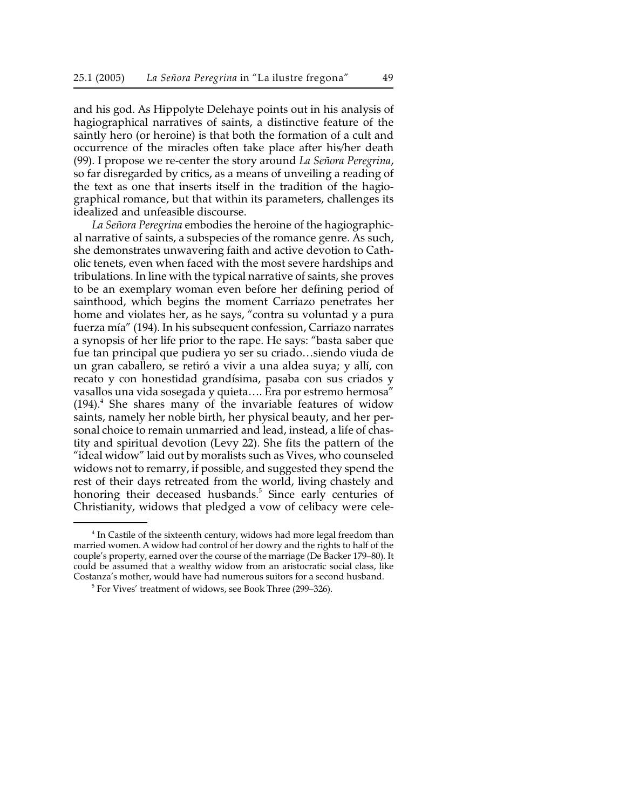and his god. As Hippolyte Delehaye points out in his analysis of hagiographical narratives of saints, a distinctive feature of the saintly hero (or heroine) is that both the formation of a cult and occurrence of the miracles often take place after his/her death (99). I propose we re-center the story around *La Señora Peregrina*, so far disregarded by critics, as a means of unveiling a reading of the text as one that inserts itself in the tradition of the hagiographical romance, but that within its parameters, challenges its idealized and unfeasible discourse.

*La Señora Peregrina* embodies the heroine of the hagiographical narrative of saints, a subspecies of the romance genre. As such, she demonstrates unwavering faith and active devotion to Catholic tenets, even when faced with the most severe hardships and tribulations. In line with the typical narrative of saints, she proves to be an exemplary woman even before her defining period of sainthood, which begins the moment Carriazo penetrates her home and violates her, as he says, "contra su voluntad y a pura fuerza mía" (194). In his subsequent confession, Carriazo narrates a synopsis of her life prior to the rape. He says: "basta saber que fue tan principal que pudiera yo ser su criado…siendo viuda de un gran caballero, se retiró a vivir a una aldea suya; y allí, con recato y con honestidad grandísima, pasaba con sus criados y vasallos una vida sosegada y quieta…. Era por estremo hermosa"  $(194).$ <sup>4</sup> She shares many of the invariable features of widow saints, namely her noble birth, her physical beauty, and her personal choice to remain unmarried and lead, instead, a life of chastity and spiritual devotion (Levy 22). She fits the pattern of the "ideal widow" laid out by moralists such as Vives, who counseled widows not to remarry, if possible, and suggested they spend the rest of their days retreated from the world, living chastely and honoring their deceased husbands.<sup>5</sup> Since early centuries of Christianity, widows that pledged a vow of celibacy were cele-

 $<sup>4</sup>$  In Castile of the sixteenth century, widows had more legal freedom than</sup> married women. A widow had control of her dowry and the rights to half of the couple's property, earned over the course of the marriage (De Backer 179–80). It could be assumed that a wealthy widow from an aristocratic social class, like Costanza's mother, would have had numerous suitors for a second husband.

 $5$  For Vives' treatment of widows, see Book Three (299–326).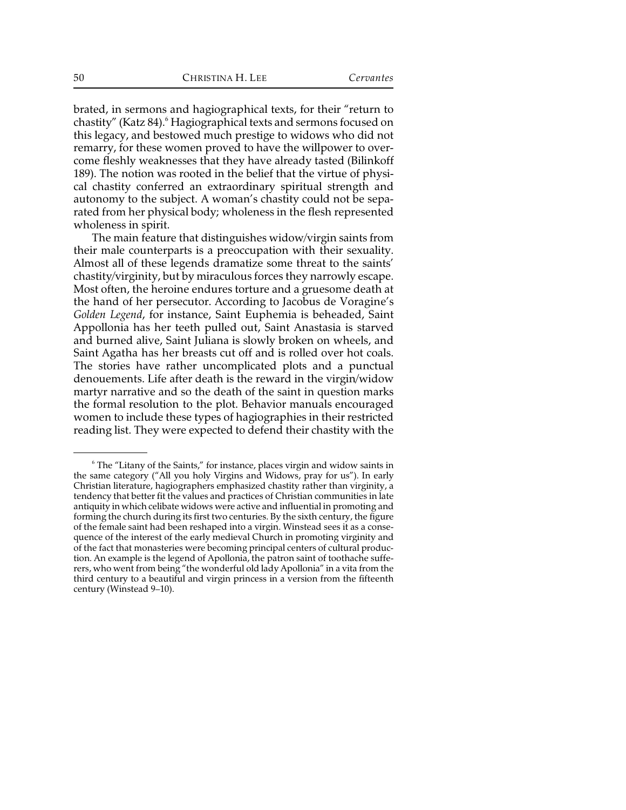brated, in sermons and hagiographical texts, for their "return to chastity" (Katz 84).<sup>6</sup> Hagiographical texts and sermons focused on this legacy, and bestowed much prestige to widows who did not remarry, for these women proved to have the willpower to overcome fleshly weaknesses that they have already tasted (Bilinkoff 189). The notion was rooted in the belief that the virtue of physical chastity conferred an extraordinary spiritual strength and autonomy to the subject. A woman's chastity could not be separated from her physical body; wholeness in the flesh represented wholeness in spirit.

The main feature that distinguishes widow/virgin saints from their male counterparts is a preoccupation with their sexuality. Almost all of these legends dramatize some threat to the saints' chastity/virginity, but by miraculous forces they narrowly escape. Most often, the heroine endures torture and a gruesome death at the hand of her persecutor. According to Jacobus de Voragine's *Golden Legend*, for instance, Saint Euphemia is beheaded, Saint Appollonia has her teeth pulled out, Saint Anastasia is starved and burned alive, Saint Juliana is slowly broken on wheels, and Saint Agatha has her breasts cut off and is rolled over hot coals. The stories have rather uncomplicated plots and a punctual denouements. Life after death is the reward in the virgin/widow martyr narrative and so the death of the saint in question marks the formal resolution to the plot. Behavior manuals encouraged women to include these types of hagiographies in their restricted reading list. They were expected to defend their chastity with the

<sup>&</sup>lt;sup>6</sup> The "Litany of the Saints," for instance, places virgin and widow saints in the same category ("All you holy Virgins and Widows, pray for us"). In early Christian literature, hagiographers emphasized chastity rather than virginity, a tendency that better fit the values and practices of Christian communities in late antiquity in which celibate widows were active and influential in promoting and forming the church during its first two centuries. By the sixth century, the figure of the female saint had been reshaped into a virgin. Winstead sees it as a consequence of the interest of the early medieval Church in promoting virginity and of the fact that monasteries were becoming principal centers of cultural production. An example is the legend of Apollonia, the patron saint of toothache sufferers, who went from being "the wonderful old lady Apollonia" in a vita from the third century to a beautiful and virgin princess in a version from the fifteenth century (Winstead 9–10).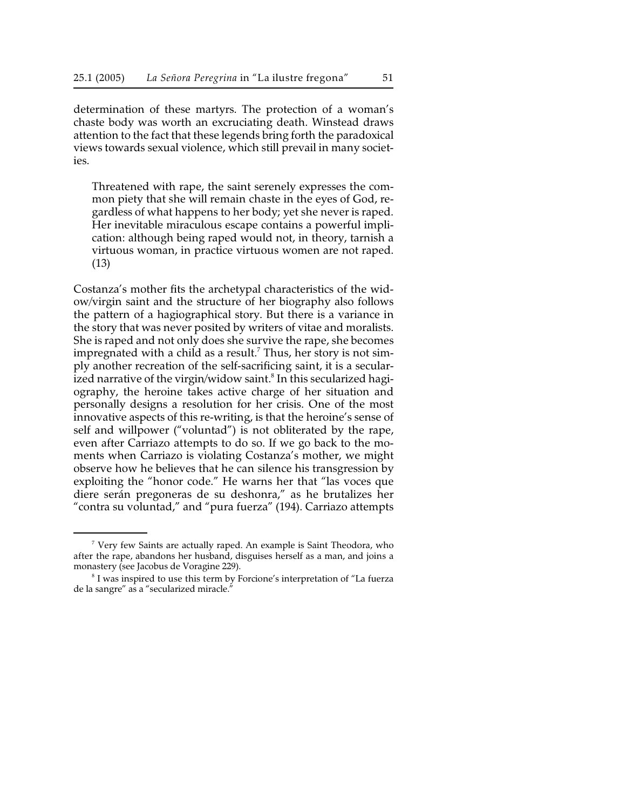determination of these martyrs. The protection of a woman's chaste body was worth an excruciating death. Winstead draws attention to the fact that these legends bring forth the paradoxical views towards sexual violence, which still prevail in many societies.

Threatened with rape, the saint serenely expresses the common piety that she will remain chaste in the eyes of God, regardless of what happens to her body; yet she never is raped. Her inevitable miraculous escape contains a powerful implication: although being raped would not, in theory, tarnish a virtuous woman, in practice virtuous women are not raped. (13)

Costanza's mother fits the archetypal characteristics of the widow/virgin saint and the structure of her biography also follows the pattern of a hagiographical story. But there is a variance in the story that was never posited by writers of vitae and moralists. She is raped and not only does she survive the rape, she becomes impregnated with a child as a result.<sup>7</sup> Thus, her story is not simply another recreation of the self-sacrificing saint, it is a secularized narrative of the virgin/widow saint.<sup>8</sup> In this secularized hagiography, the heroine takes active charge of her situation and personally designs a resolution for her crisis. One of the most innovative aspects of this re-writing, is that the heroine's sense of self and willpower ("voluntad") is not obliterated by the rape, even after Carriazo attempts to do so. If we go back to the moments when Carriazo is violating Costanza's mother, we might observe how he believes that he can silence his transgression by exploiting the "honor code." He warns her that "las voces que diere serán pregoneras de su deshonra," as he brutalizes her "contra su voluntad," and "pura fuerza" (194). Carriazo attempts

 $\frac{7}{7}$  Very few Saints are actually raped. An example is Saint Theodora, who after the rape, abandons her husband, disguises herself as a man, and joins a monastery (see Jacobus de Voragine 229).

 $8$  I was inspired to use this term by Forcione's interpretation of "La fuerza de la sangre" as a "secularized miracle."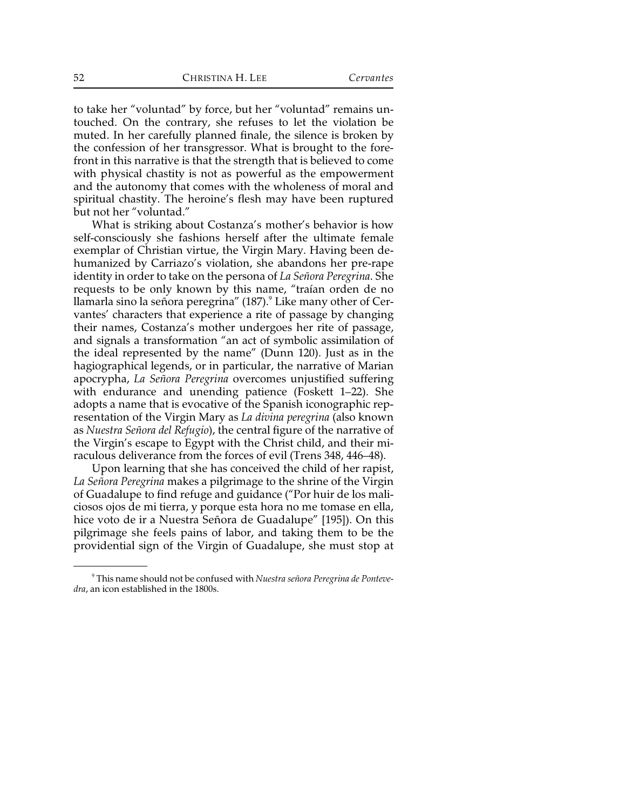to take her "voluntad" by force, but her "voluntad" remains untouched. On the contrary, she refuses to let the violation be muted. In her carefully planned finale, the silence is broken by the confession of her transgressor. What is brought to the forefront in this narrative is that the strength that is believed to come with physical chastity is not as powerful as the empowerment and the autonomy that comes with the wholeness of moral and spiritual chastity. The heroine's flesh may have been ruptured but not her "voluntad."

What is striking about Costanza's mother's behavior is how self-consciously she fashions herself after the ultimate female exemplar of Christian virtue, the Virgin Mary. Having been dehumanized by Carriazo's violation, she abandons her pre-rape identity in order to take on the persona of *La Señora Peregrina*. She requests to be only known by this name, "traían orden de no llamarla sino la señora peregrina" (187).<sup>9</sup> Like many other of Cervantes' characters that experience a rite of passage by changing their names, Costanza's mother undergoes her rite of passage, and signals a transformation "an act of symbolic assimilation of the ideal represented by the name" (Dunn 120). Just as in the hagiographical legends, or in particular, the narrative of Marian apocrypha, *La Señora Peregrina* overcomes unjustified suffering with endurance and unending patience (Foskett 1–22). She adopts a name that is evocative of the Spanish iconographic representation of the Virgin Mary as *La divina peregrina* (also known as *Nuestra Señora del Refugio*), the central figure of the narrative of the Virgin's escape to Egypt with the Christ child, and their miraculous deliverance from the forces of evil (Trens 348, 446–48).

Upon learning that she has conceived the child of her rapist, *La Señora Peregrina* makes a pilgrimage to the shrine of the Virgin of Guadalupe to find refuge and guidance ("Por huir de los maliciosos ojos de mi tierra, y porque esta hora no me tomase en ella, hice voto de ir a Nuestra Señora de Guadalupe" [195]). On this pilgrimage she feels pains of labor, and taking them to be the providential sign of the Virgin of Guadalupe, she must stop at

This name should not be confused with *Nuestra señora Peregrina de Ponteve-* <sup>9</sup> *dra*, an icon established in the 1800s.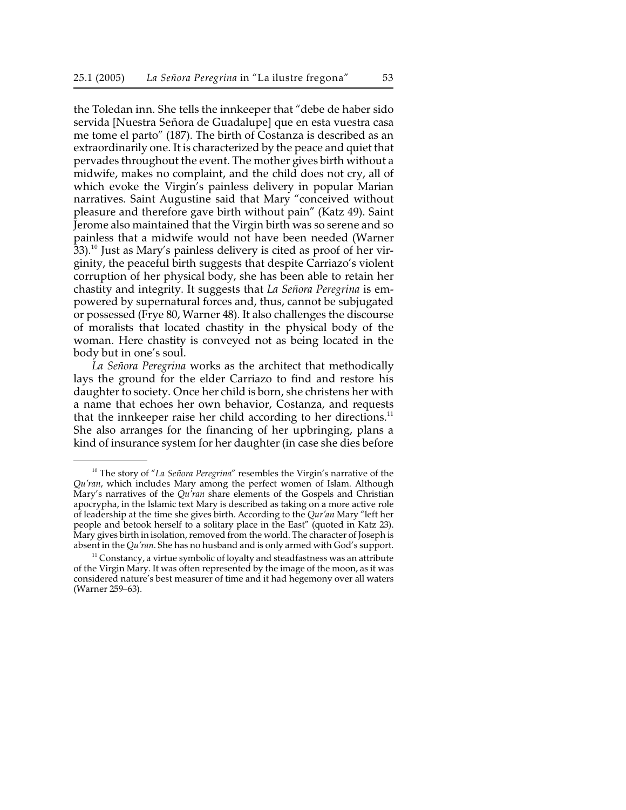the Toledan inn. She tells the innkeeper that "debe de haber sido servida [Nuestra Señora de Guadalupe] que en esta vuestra casa me tome el parto" (187). The birth of Costanza is described as an extraordinarily one. It is characterized by the peace and quiet that pervades throughout the event. The mother gives birth without a midwife, makes no complaint, and the child does not cry, all of which evoke the Virgin's painless delivery in popular Marian narratives. Saint Augustine said that Mary "conceived without pleasure and therefore gave birth without pain" (Katz 49). Saint Jerome also maintained that the Virgin birth was so serene and so painless that a midwife would not have been needed (Warner  $33$ ).<sup>10</sup> Just as Mary's painless delivery is cited as proof of her virginity, the peaceful birth suggests that despite Carriazo's violent corruption of her physical body, she has been able to retain her chastity and integrity. It suggests that *La Señora Peregrina* is empowered by supernatural forces and, thus, cannot be subjugated or possessed (Frye 80, Warner 48). It also challenges the discourse of moralists that located chastity in the physical body of the woman. Here chastity is conveyed not as being located in the body but in one's soul.

*La Señora Peregrina* works as the architect that methodically lays the ground for the elder Carriazo to find and restore his daughter to society. Once her child is born, she christens her with a name that echoes her own behavior, Costanza, and requests that the innkeeper raise her child according to her directions. $11$ She also arranges for the financing of her upbringing, plans a kind of insurance system for her daughter (in case she dies before

<sup>&</sup>lt;sup>10</sup> The story of "*La Señora Peregrina*" resembles the Virgin's narrative of the *Qu'ran*, which includes Mary among the perfect women of Islam. Although Mary's narratives of the *Qu'ran* share elements of the Gospels and Christian apocrypha, in the Islamic text Mary is described as taking on a more active role of leadership at the time she gives birth. According to the *Qur'an* Mary "left her people and betook herself to a solitary place in the East" (quoted in Katz 23). Mary gives birth in isolation, removed from the world. The character of Joseph is absent in the *Qu'ran*. She has no husband and is only armed with God's support.

 $11$  Constancy, a virtue symbolic of loyalty and steadfastness was an attribute of the Virgin Mary. It was often represented by the image of the moon, as it was considered nature's best measurer of time and it had hegemony over all waters (Warner 259–63).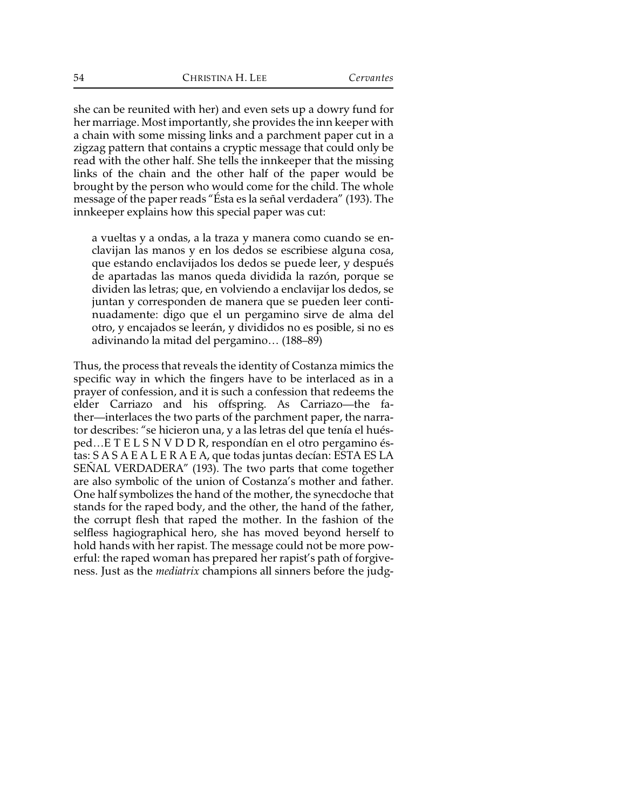she can be reunited with her) and even sets up a dowry fund for her marriage. Most importantly, she provides the inn keeper with a chain with some missing links and a parchment paper cut in a zigzag pattern that contains a cryptic message that could only be read with the other half. She tells the innkeeper that the missing links of the chain and the other half of the paper would be brought by the person who would come for the child. The whole message of the paper reads "Ésta es la señal verdadera" (193). The innkeeper explains how this special paper was cut:

a vueltas y a ondas, a la traza y manera como cuando se enclavijan las manos y en los dedos se escribiese alguna cosa, que estando enclavijados los dedos se puede leer, y después de apartadas las manos queda dividida la razón, porque se dividen las letras; que, en volviendo a enclavijar los dedos, se juntan y corresponden de manera que se pueden leer continuadamente: digo que el un pergamino sirve de alma del otro, y encajados se leerán, y divididos no es posible, si no es adivinando la mitad del pergamino… (188–89)

Thus, the process that reveals the identity of Costanza mimics the specific way in which the fingers have to be interlaced as in a prayer of confession, and it is such a confession that redeems the elder Carriazo and his offspring. As Carriazo—the father—interlaces the two parts of the parchment paper, the narrator describes: "se hicieron una, y a las letras del que tenía el huésped…E T E L S N V D D R, respondían en el otro pergamino éstas: S A S A E A L E R A E A, que todas juntas decían: ESTA ES LA SEÑAL VERDADERA" (193). The two parts that come together are also symbolic of the union of Costanza's mother and father. One half symbolizes the hand of the mother, the synecdoche that stands for the raped body, and the other, the hand of the father, the corrupt flesh that raped the mother. In the fashion of the selfless hagiographical hero, she has moved beyond herself to hold hands with her rapist. The message could not be more powerful: the raped woman has prepared her rapist's path of forgiveness. Just as the *mediatrix* champions all sinners before the judg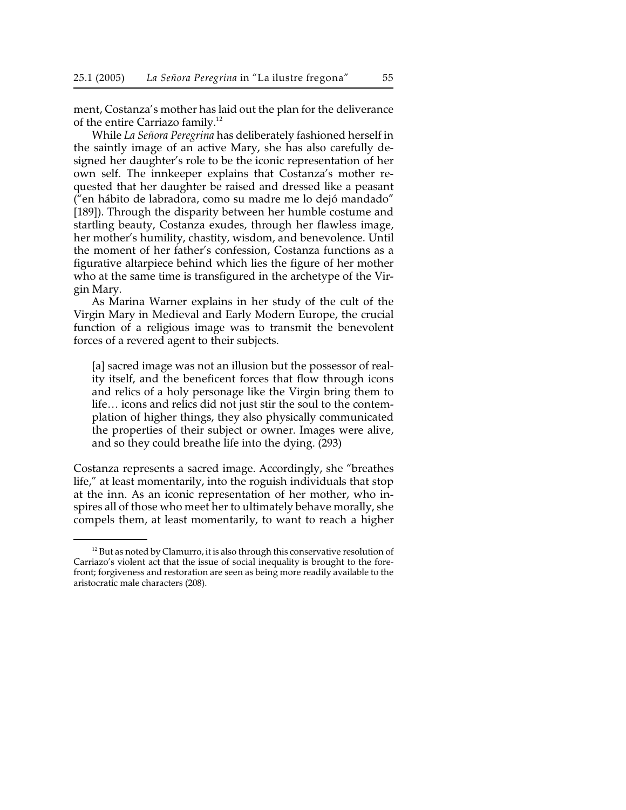ment, Costanza's mother has laid out the plan for the deliverance of the entire Carriazo family.<sup>12</sup>

While *La Señora Peregrina* has deliberately fashioned herself in the saintly image of an active Mary, she has also carefully designed her daughter's role to be the iconic representation of her own self. The innkeeper explains that Costanza's mother requested that her daughter be raised and dressed like a peasant ("en hábito de labradora, como su madre me lo dejó mandado" [189]). Through the disparity between her humble costume and startling beauty, Costanza exudes, through her flawless image, her mother's humility, chastity, wisdom, and benevolence. Until the moment of her father's confession, Costanza functions as a figurative altarpiece behind which lies the figure of her mother who at the same time is transfigured in the archetype of the Virgin Mary.

As Marina Warner explains in her study of the cult of the Virgin Mary in Medieval and Early Modern Europe, the crucial function of a religious image was to transmit the benevolent forces of a revered agent to their subjects.

[a] sacred image was not an illusion but the possessor of reality itself, and the beneficent forces that flow through icons and relics of a holy personage like the Virgin bring them to life… icons and relics did not just stir the soul to the contemplation of higher things, they also physically communicated the properties of their subject or owner. Images were alive, and so they could breathe life into the dying. (293)

Costanza represents a sacred image. Accordingly, she "breathes life," at least momentarily, into the roguish individuals that stop at the inn. As an iconic representation of her mother, who inspires all of those who meet her to ultimately behave morally, she compels them, at least momentarily, to want to reach a higher

 $12$  But as noted by Clamurro, it is also through this conservative resolution of Carriazo's violent act that the issue of social inequality is brought to the forefront; forgiveness and restoration are seen as being more readily available to the aristocratic male characters (208).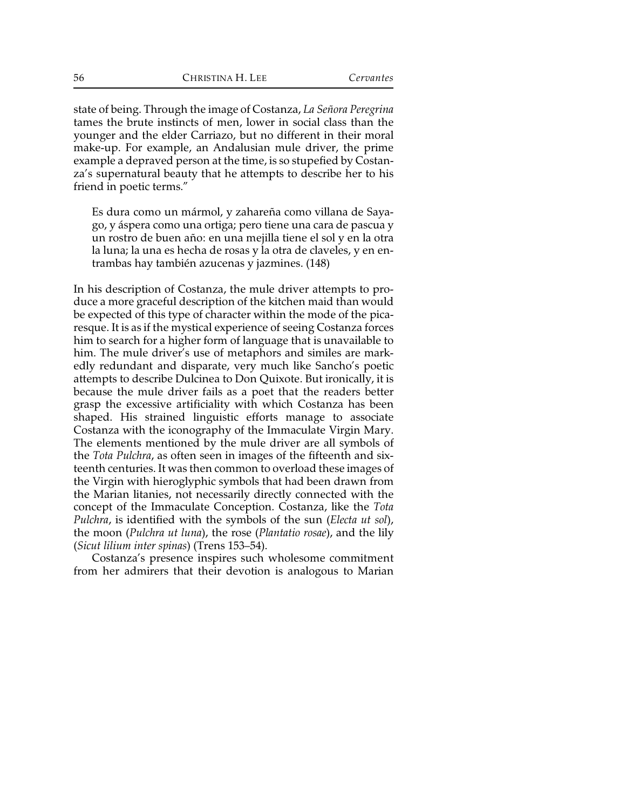state of being. Through the image of Costanza, *La Señora Peregrina* tames the brute instincts of men, lower in social class than the younger and the elder Carriazo, but no different in their moral make-up. For example, an Andalusian mule driver, the prime example a depraved person at the time, is so stupefied by Costanza's supernatural beauty that he attempts to describe her to his friend in poetic terms."

Es dura como un mármol, y zahareña como villana de Sayago, y áspera como una ortiga; pero tiene una cara de pascua y un rostro de buen año: en una mejilla tiene el sol y en la otra la luna; la una es hecha de rosas y la otra de claveles, y en entrambas hay también azucenas y jazmines. (148)

In his description of Costanza, the mule driver attempts to produce a more graceful description of the kitchen maid than would be expected of this type of character within the mode of the picaresque. It is as if the mystical experience of seeing Costanza forces him to search for a higher form of language that is unavailable to him. The mule driver's use of metaphors and similes are markedly redundant and disparate, very much like Sancho's poetic attempts to describe Dulcinea to Don Quixote. But ironically, it is because the mule driver fails as a poet that the readers better grasp the excessive artificiality with which Costanza has been shaped. His strained linguistic efforts manage to associate Costanza with the iconography of the Immaculate Virgin Mary. The elements mentioned by the mule driver are all symbols of the *Tota Pulchra*, as often seen in images of the fifteenth and sixteenth centuries. It was then common to overload these images of the Virgin with hieroglyphic symbols that had been drawn from the Marian litanies, not necessarily directly connected with the concept of the Immaculate Conception. Costanza, like the *Tota Pulchra*, is identified with the symbols of the sun (*Electa ut sol*), the moon (*Pulchra ut luna*), the rose (*Plantatio rosae*), and the lily (*Sicut lilium inter spinas*) (Trens 153–54).

Costanza's presence inspires such wholesome commitment from her admirers that their devotion is analogous to Marian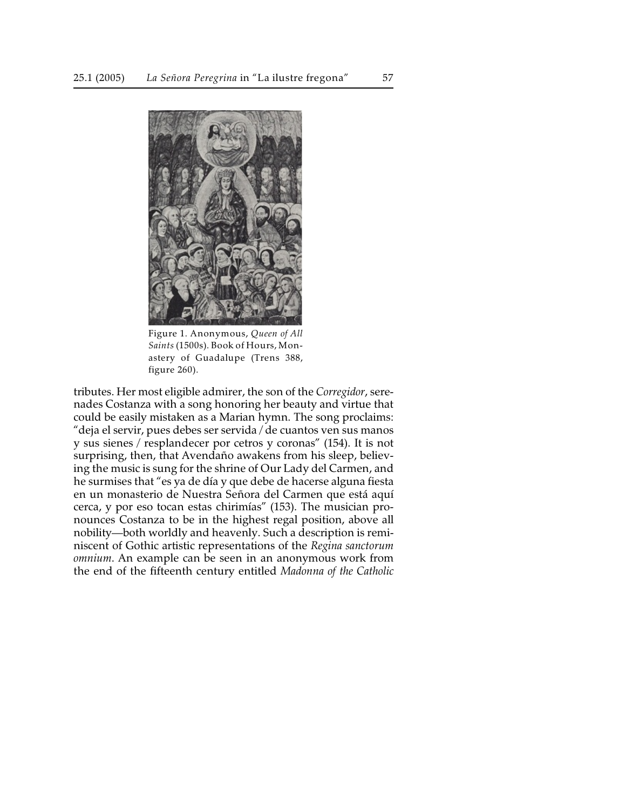

Figure 1. Anonymous, *Queen of All Saints* (1500s). Book of Hours, Monastery of Guadalupe (Trens 388, figure 260).

tributes. Her most eligible admirer, the son of the *Corregidor*, serenades Costanza with a song honoring her beauty and virtue that could be easily mistaken as a Marian hymn. The song proclaims: "deja el servir, pues debes ser servida / de cuantos ven sus manos y sus sienes / resplandecer por cetros y coronas" (154). It is not surprising, then, that Avendaño awakens from his sleep, believing the music is sung for the shrine of Our Lady del Carmen, and he surmises that "es ya de día y que debe de hacerse alguna fiesta en un monasterio de Nuestra Señora del Carmen que está aquí cerca, y por eso tocan estas chirimías" (153). The musician pronounces Costanza to be in the highest regal position, above all nobility—both worldly and heavenly. Such a description is reminiscent of Gothic artistic representations of the *Regina sanctorum omnium*. An example can be seen in an anonymous work from the end of the fifteenth century entitled *Madonna of the Catholic*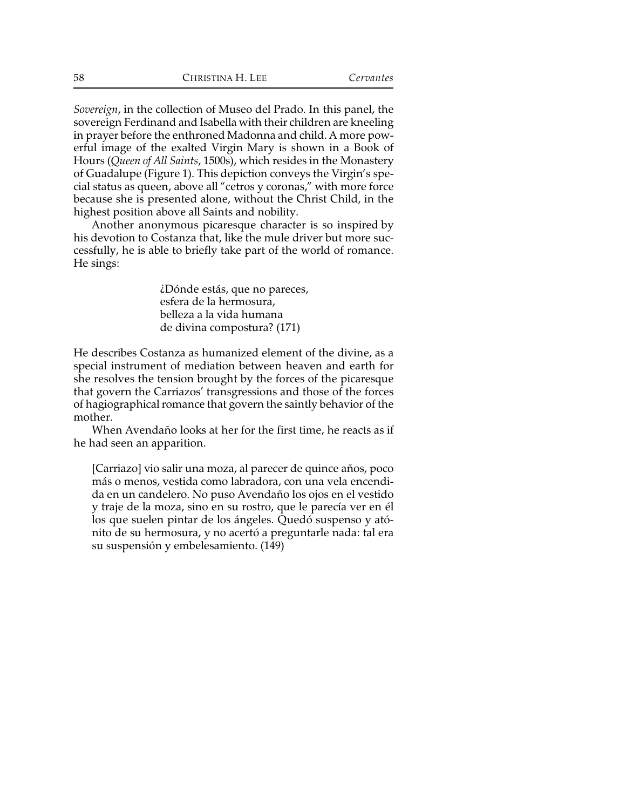*Sovereign*, in the collection of Museo del Prado. In this panel, the sovereign Ferdinand and Isabella with their children are kneeling in prayer before the enthroned Madonna and child. A more powerful image of the exalted Virgin Mary is shown in a Book of Hours (*Queen of All Saints*, 1500s), which resides in the Monastery of Guadalupe (Figure 1). This depiction conveys the Virgin's special status as queen, above all "cetros y coronas," with more force because she is presented alone, without the Christ Child, in the highest position above all Saints and nobility.

Another anonymous picaresque character is so inspired by his devotion to Costanza that, like the mule driver but more successfully, he is able to briefly take part of the world of romance. He sings:

> ¿Dónde estás, que no pareces, esfera de la hermosura, belleza a la vida humana de divina compostura? (171)

He describes Costanza as humanized element of the divine, as a special instrument of mediation between heaven and earth for she resolves the tension brought by the forces of the picaresque that govern the Carriazos' transgressions and those of the forces of hagiographical romance that govern the saintly behavior of the mother.

When Avendaño looks at her for the first time, he reacts as if he had seen an apparition.

[Carriazo] vio salir una moza, al parecer de quince años, poco más o menos, vestida como labradora, con una vela encendida en un candelero. No puso Avendaño los ojos en el vestido y traje de la moza, sino en su rostro, que le parecía ver en él los que suelen pintar de los ángeles. Quedó suspenso y atónito de su hermosura, y no acertó a preguntarle nada: tal era su suspensión y embelesamiento. (149)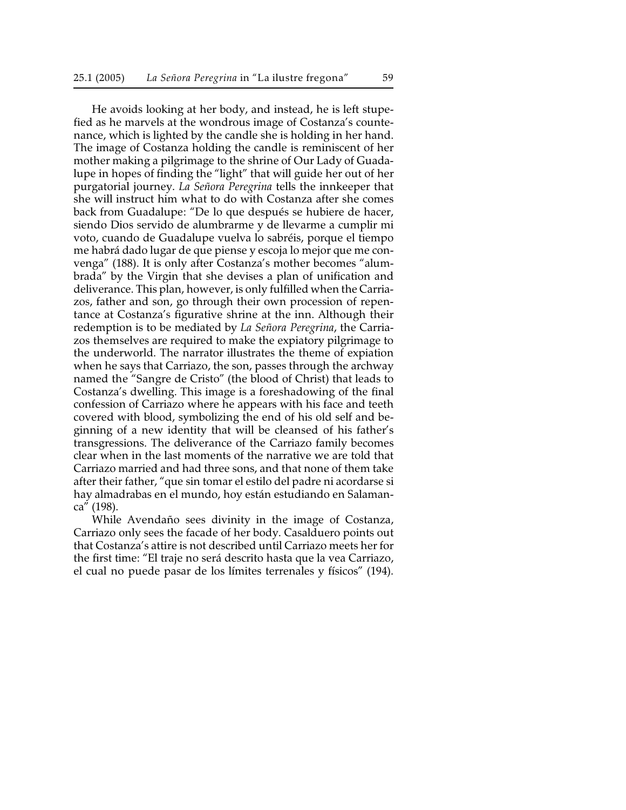He avoids looking at her body, and instead, he is left stupefied as he marvels at the wondrous image of Costanza's countenance, which is lighted by the candle she is holding in her hand. The image of Costanza holding the candle is reminiscent of her mother making a pilgrimage to the shrine of Our Lady of Guadalupe in hopes of finding the "light" that will guide her out of her purgatorial journey. *La Señora Peregrina* tells the innkeeper that she will instruct him what to do with Costanza after she comes back from Guadalupe: "De lo que después se hubiere de hacer, siendo Dios servido de alumbrarme y de llevarme a cumplir mi voto, cuando de Guadalupe vuelva lo sabréis, porque el tiempo me habrá dado lugar de que piense y escoja lo mejor que me convenga" (188). It is only after Costanza's mother becomes "alumbrada" by the Virgin that she devises a plan of unification and deliverance. This plan, however, is only fulfilled when the Carriazos, father and son, go through their own procession of repentance at Costanza's figurative shrine at the inn. Although their redemption is to be mediated by *La Señora Peregrina*, the Carriazos themselves are required to make the expiatory pilgrimage to the underworld. The narrator illustrates the theme of expiation when he says that Carriazo, the son, passes through the archway named the "Sangre de Cristo" (the blood of Christ) that leads to Costanza's dwelling. This image is a foreshadowing of the final confession of Carriazo where he appears with his face and teeth covered with blood, symbolizing the end of his old self and beginning of a new identity that will be cleansed of his father's transgressions. The deliverance of the Carriazo family becomes clear when in the last moments of the narrative we are told that Carriazo married and had three sons, and that none of them take after their father, "que sin tomar el estilo del padre ni acordarse si hay almadrabas en el mundo, hoy están estudiando en Salamanca" (198).

While Avendaño sees divinity in the image of Costanza, Carriazo only sees the facade of her body. Casalduero points out that Costanza's attire is not described until Carriazo meets her for the first time: "El traje no será descrito hasta que la vea Carriazo, el cual no puede pasar de los límites terrenales y físicos" (194).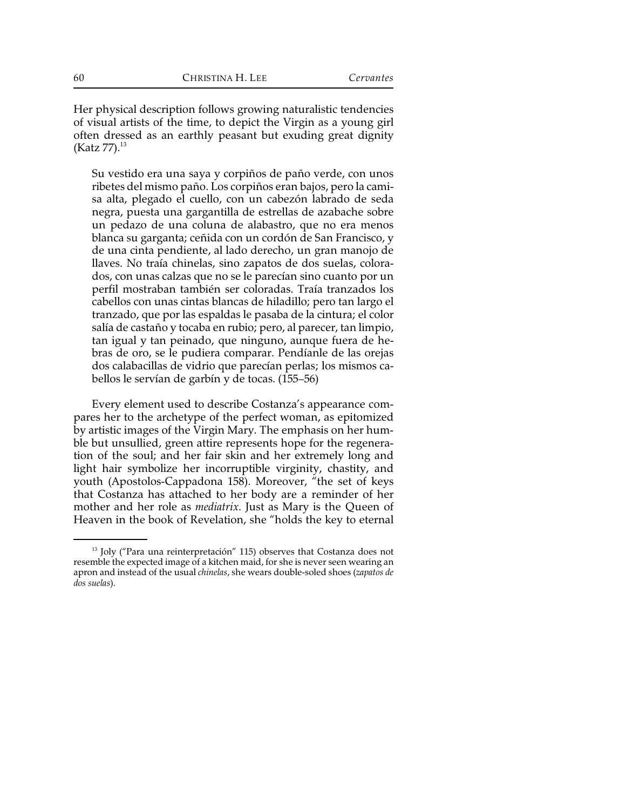Her physical description follows growing naturalistic tendencies of visual artists of the time, to depict the Virgin as a young girl often dressed as an earthly peasant but exuding great dignity (Katz 77). $^{13}$ 

Su vestido era una saya y corpiños de paño verde, con unos ribetes del mismo paño. Los corpiños eran bajos, pero la camisa alta, plegado el cuello, con un cabezón labrado de seda negra, puesta una gargantilla de estrellas de azabache sobre un pedazo de una coluna de alabastro, que no era menos blanca su garganta; ceñida con un cordón de San Francisco, y de una cinta pendiente, al lado derecho, un gran manojo de llaves. No traía chinelas, sino zapatos de dos suelas, colorados, con unas calzas que no se le parecían sino cuanto por un perfil mostraban también ser coloradas. Traía tranzados los cabellos con unas cintas blancas de hiladillo; pero tan largo el tranzado, que por las espaldas le pasaba de la cintura; el color salía de castaño y tocaba en rubio; pero, al parecer, tan limpio, tan igual y tan peinado, que ninguno, aunque fuera de hebras de oro, se le pudiera comparar. Pendíanle de las orejas dos calabacillas de vidrio que parecían perlas; los mismos cabellos le servían de garbín y de tocas. (155–56)

Every element used to describe Costanza's appearance compares her to the archetype of the perfect woman, as epitomized by artistic images of the Virgin Mary. The emphasis on her humble but unsullied, green attire represents hope for the regeneration of the soul; and her fair skin and her extremely long and light hair symbolize her incorruptible virginity, chastity, and youth (Apostolos-Cappadona 158). Moreover, "the set of keys that Costanza has attached to her body are a reminder of her mother and her role as *mediatrix*. Just as Mary is the Queen of Heaven in the book of Revelation, she "holds the key to eternal

 $13$  Joly ("Para una reinterpretación" 115) observes that Costanza does not resemble the expected image of a kitchen maid, for she is never seen wearing an apron and instead of the usual *chinelas*, she wears double-soled shoes (*zapatos de dos suelas*).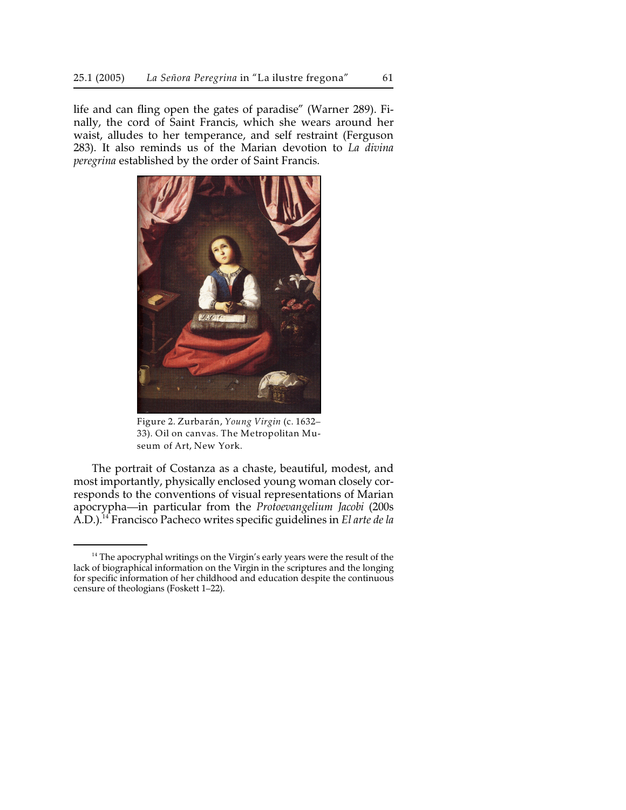life and can fling open the gates of paradise" (Warner 289). Finally, the cord of Saint Francis, which she wears around her waist, alludes to her temperance, and self restraint (Ferguson 283). It also reminds us of the Marian devotion to *La divina peregrina* established by the order of Saint Francis.



Figure 2. Zurbarán, *Young Virgin* (c. 1632– 33). Oil on canvas. The Metropolitan Museum of Art, New York.

The portrait of Costanza as a chaste, beautiful, modest, and most importantly, physically enclosed young woman closely corresponds to the conventions of visual representations of Marian apocrypha—in particular from the *Protoevangelium Jacobi* (200s A.D.).<sup>14</sup> Francisco Pacheco writes specific guidelines in *El arte de la* 

 $14$  The apocryphal writings on the Virgin's early years were the result of the lack of biographical information on the Virgin in the scriptures and the longing for specific information of her childhood and education despite the continuous censure of theologians (Foskett 1–22).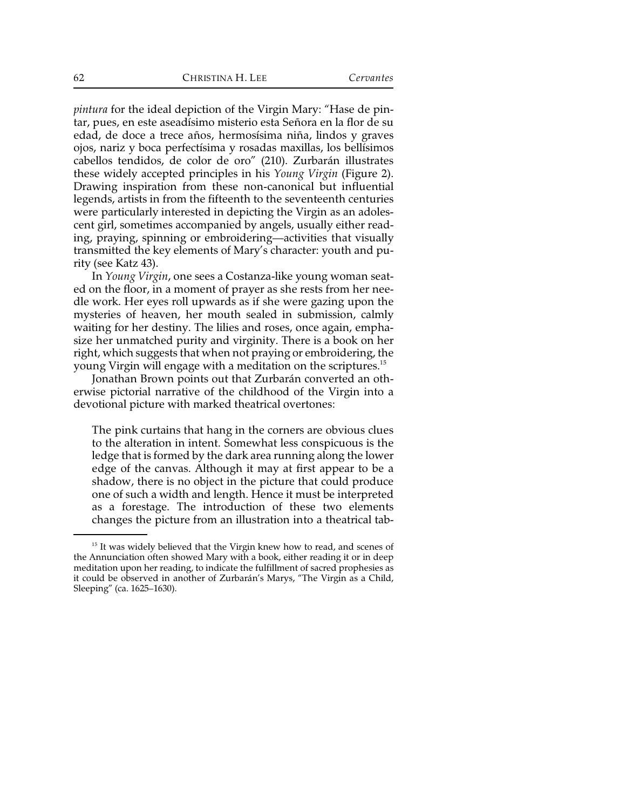*pintura* for the ideal depiction of the Virgin Mary: "Hase de pintar, pues, en este aseadísimo misterio esta Señora en la flor de su edad, de doce a trece años, hermosísima niña, lindos y graves ojos, nariz y boca perfectísima y rosadas maxillas, los bellísimos cabellos tendidos, de color de oro" (210). Zurbarán illustrates these widely accepted principles in his *Young Virgin* (Figure 2). Drawing inspiration from these non-canonical but influential legends, artists in from the fifteenth to the seventeenth centuries were particularly interested in depicting the Virgin as an adolescent girl, sometimes accompanied by angels, usually either reading, praying, spinning or embroidering—activities that visually transmitted the key elements of Mary's character: youth and purity (see Katz 43).

In *Young Virgin*, one sees a Costanza-like young woman seated on the floor, in a moment of prayer as she rests from her needle work. Her eyes roll upwards as if she were gazing upon the mysteries of heaven, her mouth sealed in submission, calmly waiting for her destiny. The lilies and roses, once again, emphasize her unmatched purity and virginity. There is a book on her right, which suggests that when not praying or embroidering, the young Virgin will engage with a meditation on the scriptures.<sup>15</sup>

Jonathan Brown points out that Zurbarán converted an otherwise pictorial narrative of the childhood of the Virgin into a devotional picture with marked theatrical overtones:

The pink curtains that hang in the corners are obvious clues to the alteration in intent. Somewhat less conspicuous is the ledge that is formed by the dark area running along the lower edge of the canvas. Although it may at first appear to be a shadow, there is no object in the picture that could produce one of such a width and length. Hence it must be interpreted as a forestage. The introduction of these two elements changes the picture from an illustration into a theatrical tab-

 $15$  It was widely believed that the Virgin knew how to read, and scenes of the Annunciation often showed Mary with a book, either reading it or in deep meditation upon her reading, to indicate the fulfillment of sacred prophesies as it could be observed in another of Zurbarán's Marys, "The Virgin as a Child, Sleeping" (ca. 1625–1630).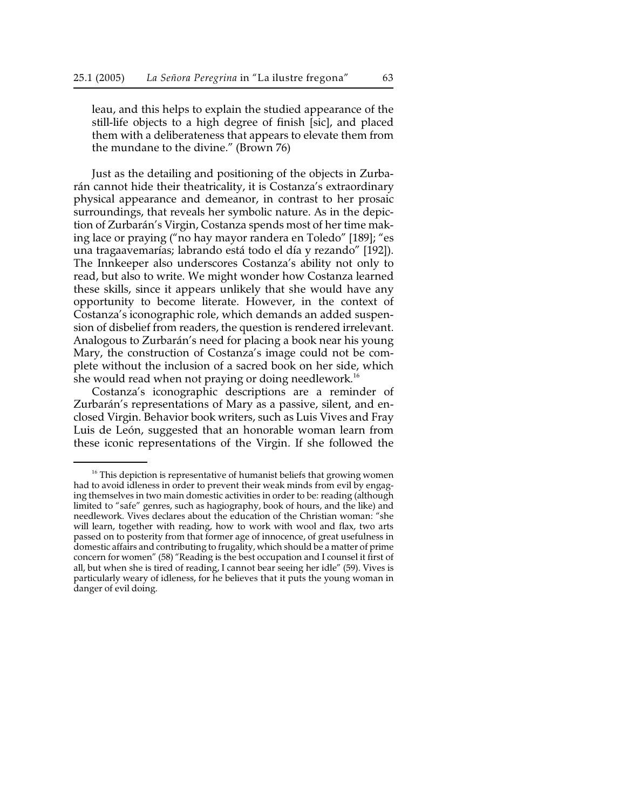leau, and this helps to explain the studied appearance of the still-life objects to a high degree of finish [sic], and placed them with a deliberateness that appears to elevate them from the mundane to the divine." (Brown 76)

Just as the detailing and positioning of the objects in Zurbarán cannot hide their theatricality, it is Costanza's extraordinary physical appearance and demeanor, in contrast to her prosaic surroundings, that reveals her symbolic nature. As in the depiction of Zurbarán's Virgin, Costanza spends most of her time making lace or praying ("no hay mayor randera en Toledo" [189]; "es una tragaavemarías; labrando está todo el día y rezando" [192]). The Innkeeper also underscores Costanza's ability not only to read, but also to write. We might wonder how Costanza learned these skills, since it appears unlikely that she would have any opportunity to become literate. However, in the context of Costanza's iconographic role, which demands an added suspension of disbelief from readers, the question is rendered irrelevant. Analogous to Zurbarán's need for placing a book near his young Mary, the construction of Costanza's image could not be complete without the inclusion of a sacred book on her side, which she would read when not praying or doing needlework.<sup>16</sup>

Costanza's iconographic descriptions are a reminder of Zurbarán's representations of Mary as a passive, silent, and enclosed Virgin. Behavior book writers, such as Luis Vives and Fray Luis de León, suggested that an honorable woman learn from these iconic representations of the Virgin. If she followed the

 $16$  This depiction is representative of humanist beliefs that growing women had to avoid idleness in order to prevent their weak minds from evil by engaging themselves in two main domestic activities in order to be: reading (although limited to "safe" genres, such as hagiography, book of hours, and the like) and needlework. Vives declares about the education of the Christian woman: "she will learn, together with reading, how to work with wool and flax, two arts passed on to posterity from that former age of innocence, of great usefulness in domestic affairs and contributing to frugality, which should be a matter of prime concern for women" (58) "Reading is the best occupation and I counsel it first of all, but when she is tired of reading, I cannot bear seeing her idle" (59). Vives is particularly weary of idleness, for he believes that it puts the young woman in danger of evil doing.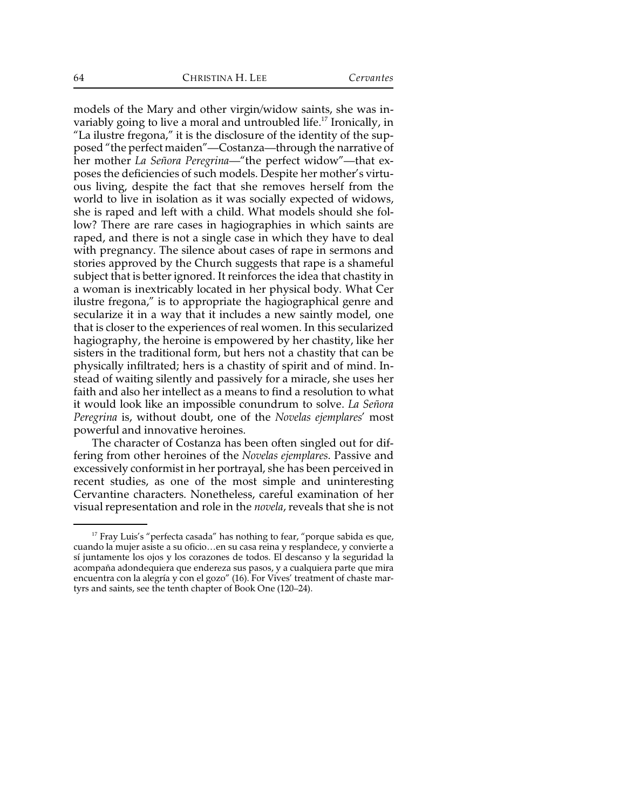models of the Mary and other virgin/widow saints, she was invariably going to live a moral and untroubled life.<sup>17</sup> Ironically, in "La ilustre fregona," it is the disclosure of the identity of the supposed "the perfect maiden"—Costanza—through the narrative of her mother *La Señora Peregrina*—"the perfect widow"—that exposes the deficiencies of such models. Despite her mother's virtuous living, despite the fact that she removes herself from the world to live in isolation as it was socially expected of widows, she is raped and left with a child. What models should she follow? There are rare cases in hagiographies in which saints are raped, and there is not a single case in which they have to deal with pregnancy. The silence about cases of rape in sermons and stories approved by the Church suggests that rape is a shameful subject that is better ignored. It reinforces the idea that chastity in a woman is inextricably located in her physical body. What Cer ilustre fregona," is to appropriate the hagiographical genre and secularize it in a way that it includes a new saintly model, one that is closer to the experiences of real women. In this secularized hagiography, the heroine is empowered by her chastity, like her sisters in the traditional form, but hers not a chastity that can be physically infiltrated; hers is a chastity of spirit and of mind. Instead of waiting silently and passively for a miracle, she uses her faith and also her intellect as a means to find a resolution to what it would look like an impossible conundrum to solve. *La Señora Peregrina* is, without doubt, one of the *Novelas ejemplares*' most powerful and innovative heroines.

The character of Costanza has been often singled out for differing from other heroines of the *Novelas ejemplares*. Passive and excessively conformist in her portrayal, she has been perceived in recent studies, as one of the most simple and uninteresting Cervantine characters. Nonetheless, careful examination of her visual representation and role in the *novela*, reveals that she is not

 $^{17}$  Fray Luis's "perfecta casada" has nothing to fear, "porque sabida es que, cuando la mujer asiste a su oficio…en su casa reina y resplandece, y convierte a sí juntamente los ojos y los corazones de todos. El descanso y la seguridad la acompaña adondequiera que endereza sus pasos, y a cualquiera parte que mira encuentra con la alegría y con el gozo" (16). For Vives' treatment of chaste martyrs and saints, see the tenth chapter of Book One (120–24).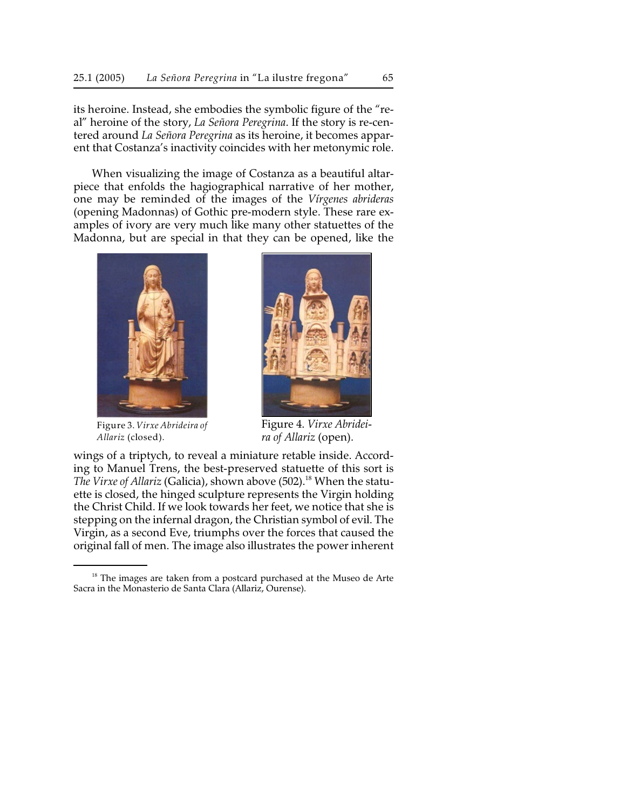its heroine. Instead, she embodies the symbolic figure of the "real" heroine of the story, *La Señora Peregrina*. If the story is re-centered around *La Señora Peregrina* as its heroine, it becomes apparent that Costanza's inactivity coincides with her metonymic role.

When visualizing the image of Costanza as a beautiful altarpiece that enfolds the hagiographical narrative of her mother, one may be reminded of the images of the *Vírgenes abrideras* (opening Madonnas) of Gothic pre-modern style. These rare examples of ivory are very much like many other statuettes of the Madonna, but are special in that they can be opened, like the



Figure 3. *Virxe Abrideira of Allariz* (closed).



Figure 4. *Virxe Abrideira of Allariz* (open).

wings of a triptych, to reveal a miniature retable inside. According to Manuel Trens, the best-preserved statuette of this sort is *The Virxe of Allariz* (Galicia), shown above (502).<sup>18</sup> When the statuette is closed, the hinged sculpture represents the Virgin holding the Christ Child. If we look towards her feet, we notice that she is stepping on the infernal dragon, the Christian symbol of evil. The Virgin, as a second Eve, triumphs over the forces that caused the original fall of men. The image also illustrates the power inherent

 $18$  The images are taken from a postcard purchased at the Museo de Arte Sacra in the Monasterio de Santa Clara (Allariz, Ourense).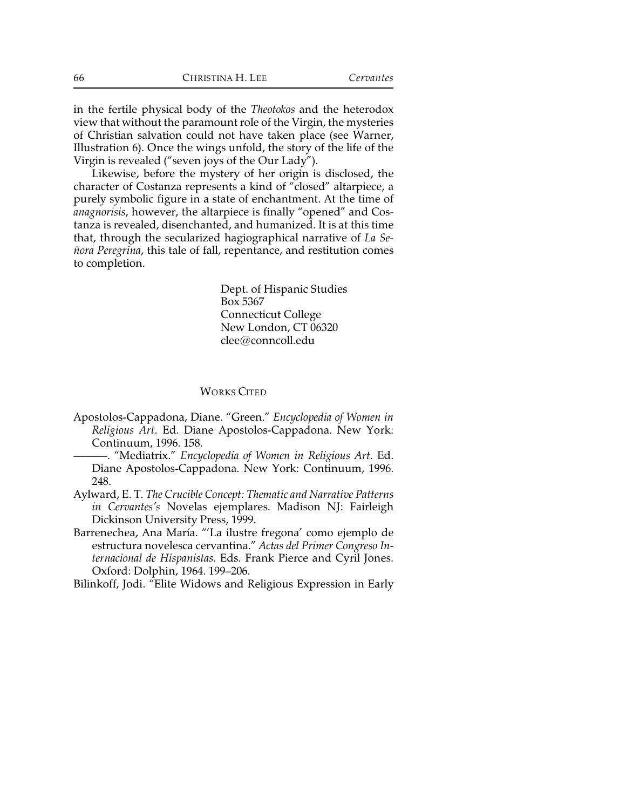in the fertile physical body of the *Theotokos* and the heterodox view that without the paramount role of the Virgin, the mysteries of Christian salvation could not have taken place (see Warner, Illustration 6). Once the wings unfold, the story of the life of the Virgin is revealed ("seven joys of the Our Lady").

Likewise, before the mystery of her origin is disclosed, the character of Costanza represents a kind of "closed" altarpiece, a purely symbolic figure in a state of enchantment. At the time of *anagnorisis*, however, the altarpiece is finally "opened" and Costanza is revealed, disenchanted, and humanized. It is at this time that, through the secularized hagiographical narrative of *La Señora Peregrina*, this tale of fall, repentance, and restitution comes to completion.

> Dept. of Hispanic Studies Box 5367 Connecticut College New London, CT 06320 clee@conncoll.edu

## WORKS CITED

- Apostolos-Cappadona, Diane. "Green." *Encyclopedia of Women in Religious Art*. Ed. Diane Apostolos-Cappadona. New York: Continuum, 1996. 158.
- ———. "Mediatrix." *Encyclopedia of Women in Religious Art*. Ed. Diane Apostolos-Cappadona. New York: Continuum, 1996. 248.
- Aylward, E. T. *The Crucible Concept: Thematic and Narrative Patterns in Cervantes's* Novelas ejemplares. Madison NJ: Fairleigh Dickinson University Press, 1999.
- Barrenechea, Ana María. "'La ilustre fregona' como ejemplo de estructura novelesca cervantina." *Actas del Primer Congreso Internacional de Hispanistas*. Eds. Frank Pierce and Cyril Jones. Oxford: Dolphin, 1964. 199–206.
- Bilinkoff, Jodi. "Elite Widows and Religious Expression in Early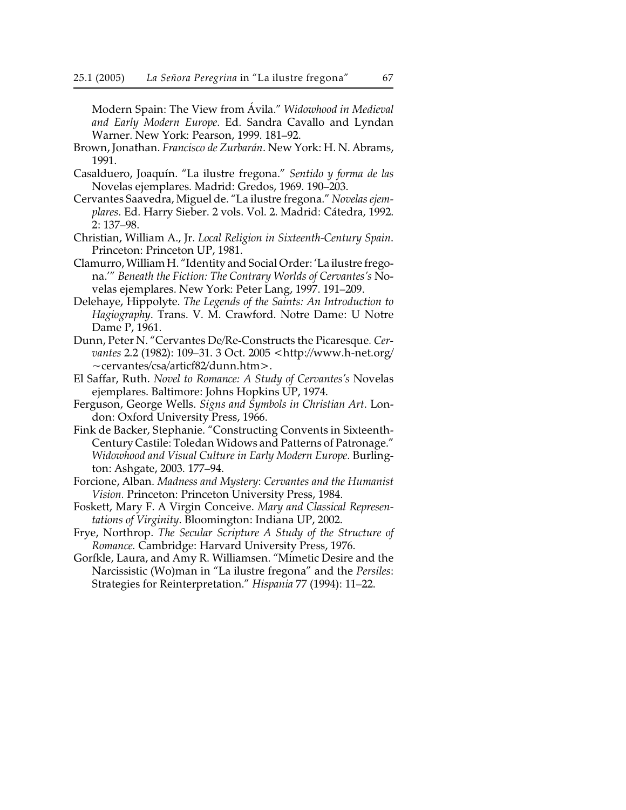Modern Spain: The View from Ávila." *Widowhood in Medieval and Early Modern Europe*. Ed. Sandra Cavallo and Lyndan Warner. New York: Pearson, 1999. 181–92.

- Brown, Jonathan. *Francisco de Zurbarán*. New York: H. N. Abrams, 1991.
- Casalduero, Joaquín. "La ilustre fregona." *Sentido y forma de las* Novelas ejemplares. Madrid: Gredos, 1969. 190–203.
- Cervantes Saavedra, Miguel de. "La ilustre fregona." *Novelas ejemplares*. Ed. Harry Sieber. 2 vols. Vol. 2. Madrid: Cátedra, 1992. 2: 137–98.
- Christian, William A., Jr. *Local Religion in Sixteenth-Century Spain*. Princeton: Princeton UP, 1981.
- Clamurro, William H. "Identity and Social Order: 'La ilustre fregona.'" *Beneath the Fiction: The Contrary Worlds of Cervantes's* Novelas ejemplares. New York: Peter Lang, 1997. 191–209.
- Delehaye, Hippolyte. *The Legends of the Saints: An Introduction to Hagiography*. Trans. V. M. Crawford. Notre Dame: U Notre Dame P, 1961.
- Dunn, Peter N. "Cervantes De/Re-Constructs the Picaresque*. Cervantes* 2.2 (1982): 109–31. 3 Oct. 2005 <http://www.h-net.org/ ~cervantes/csa/articf82/dunn.htm>.
- El Saffar, Ruth. *Novel to Romance: A Study of Cervantes's* Novelas ejemplares. Baltimore: Johns Hopkins UP, 1974.
- Ferguson, George Wells. *Signs and Symbols in Christian Art*. London: Oxford University Press, 1966.
- Fink de Backer, Stephanie. "Constructing Convents in Sixteenth-Century Castile: Toledan Widows and Patterns of Patronage." *Widowhood and Visual Culture in Early Modern Europe*. Burlington: Ashgate, 2003. 177–94.
- Forcione, Alban. *Madness and Mystery*: *Cervantes and the Humanist Vision.* Princeton: Princeton University Press, 1984.
- Foskett, Mary F. A Virgin Conceive. *Mary and Classical Representations of Virginity*. Bloomington: Indiana UP, 2002.
- Frye, Northrop. *The Secular Scripture A Study of the Structure of Romance.* Cambridge: Harvard University Press, 1976.
- Gorfkle, Laura, and Amy R. Williamsen. "Mimetic Desire and the Narcissistic (Wo)man in "La ilustre fregona" and the *Persiles*: Strategies for Reinterpretation." *Hispania* 77 (1994): 11–22.